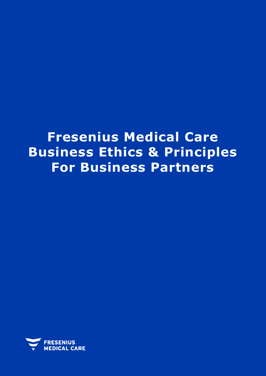## **Fresenius Medical Care Business Ethics & Principles For Business Partners**